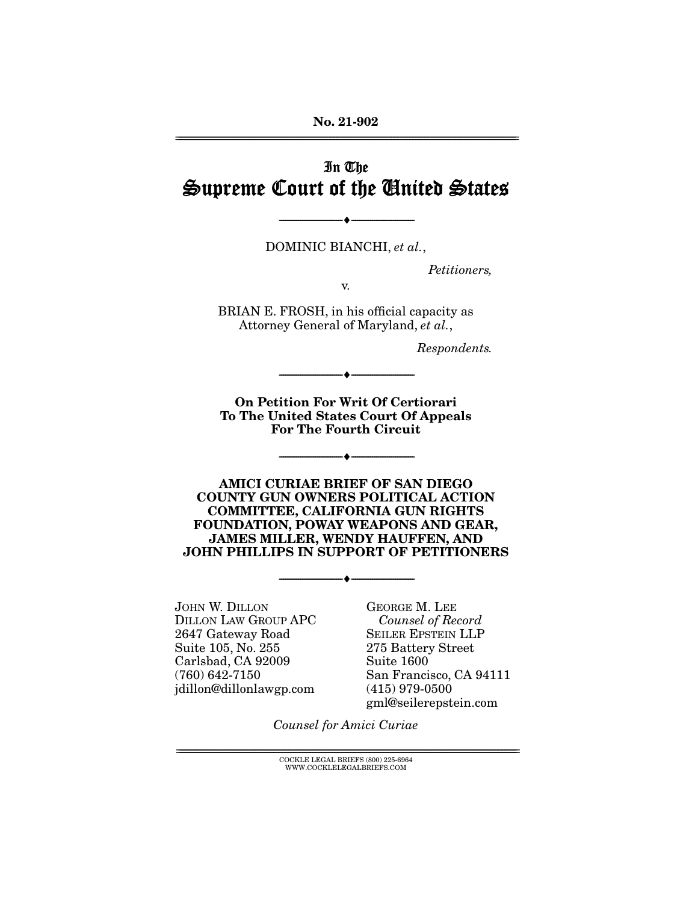**No. 21-902**  ================================================================================================================

## In The Supreme Court of the United States

DOMINIC BIANCHI, *et al.*,

--------------------------------- ♦ ---------------------------------

*Petitioners,* 

v.

BRIAN E. FROSH, in his official capacity as Attorney General of Maryland, *et al.*,

*Respondents.* 

**On Petition For Writ Of Certiorari To The United States Court Of Appeals For The Fourth Circuit** 

--------------------------------- ♦ ---------------------------------

--------------------------------- ♦ ---------------------------------

**AMICI CURIAE BRIEF OF SAN DIEGO COUNTY GUN OWNERS POLITICAL ACTION COMMITTEE, CALIFORNIA GUN RIGHTS FOUNDATION, POWAY WEAPONS AND GEAR, JAMES MILLER, WENDY HAUFFEN, AND JOHN PHILLIPS IN SUPPORT OF PETITIONERS** 

--------------------------------- ♦ ---------------------------------

JOHN W. DILLON DILLON LAW GROUP APC 2647 Gateway Road Suite 105, No. 255 Carlsbad, CA 92009 (760) 642-7150 jdillon@dillonlawgp.com

GEORGE M. LEE *Counsel of Record* SEILER EPSTEIN LLP 275 Battery Street Suite 1600 San Francisco, CA 94111 (415) 979-0500 gml@seilerepstein.com

*Counsel for Amici Curiae* 

 $\text{COCKLE LEGAL BRIEFS}$  (800) 225-6964 WWW.COCKLELEGALBRIEFS.COM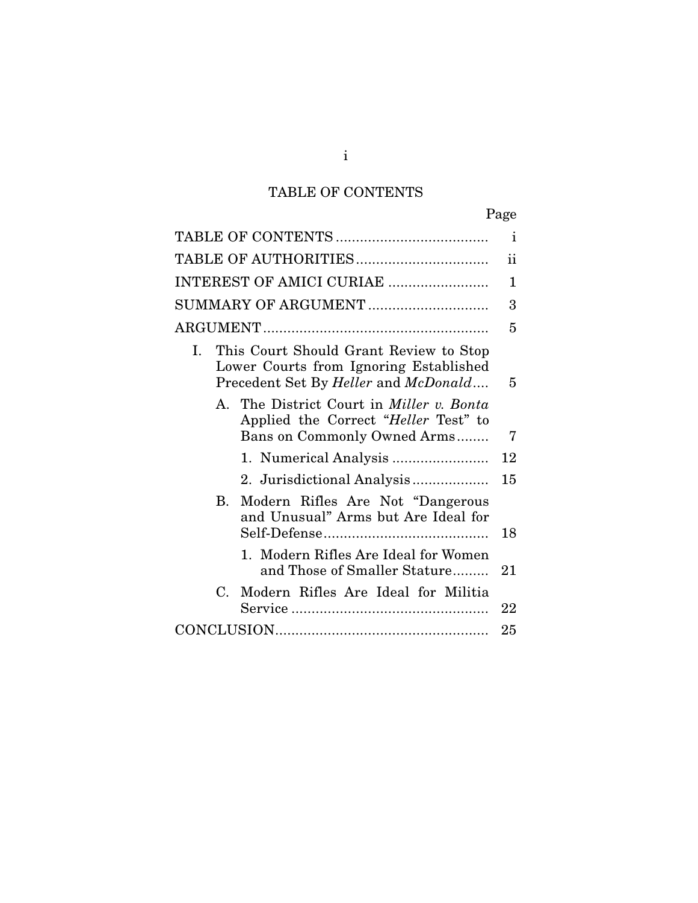# TABLE OF CONTENTS

| Page                                                                                                                          |              |
|-------------------------------------------------------------------------------------------------------------------------------|--------------|
|                                                                                                                               | $\mathbf{i}$ |
|                                                                                                                               | ii           |
| INTEREST OF AMICI CURIAE                                                                                                      | 1            |
| SUMMARY OF ARGUMENT                                                                                                           | 3            |
|                                                                                                                               | 5            |
| This Court Should Grant Review to Stop<br>L<br>Lower Courts from Ignoring Established<br>Precedent Set By Heller and McDonald | 5            |
| A. The District Court in <i>Miller v. Bonta</i><br>Applied the Correct "Heller Test" to<br>Bans on Commonly Owned Arms        | 7            |
|                                                                                                                               | 12           |
|                                                                                                                               | 15           |
| Modern Rifles Are Not "Dangerous<br>$\mathbf{B}$<br>and Unusual" Arms but Are Ideal for                                       | 18           |
| 1. Modern Rifles Are Ideal for Women<br>and Those of Smaller Stature                                                          | 21           |
| $C_{\cdot}$<br>Modern Rifles Are Ideal for Militia                                                                            | 22           |
|                                                                                                                               | 25           |

i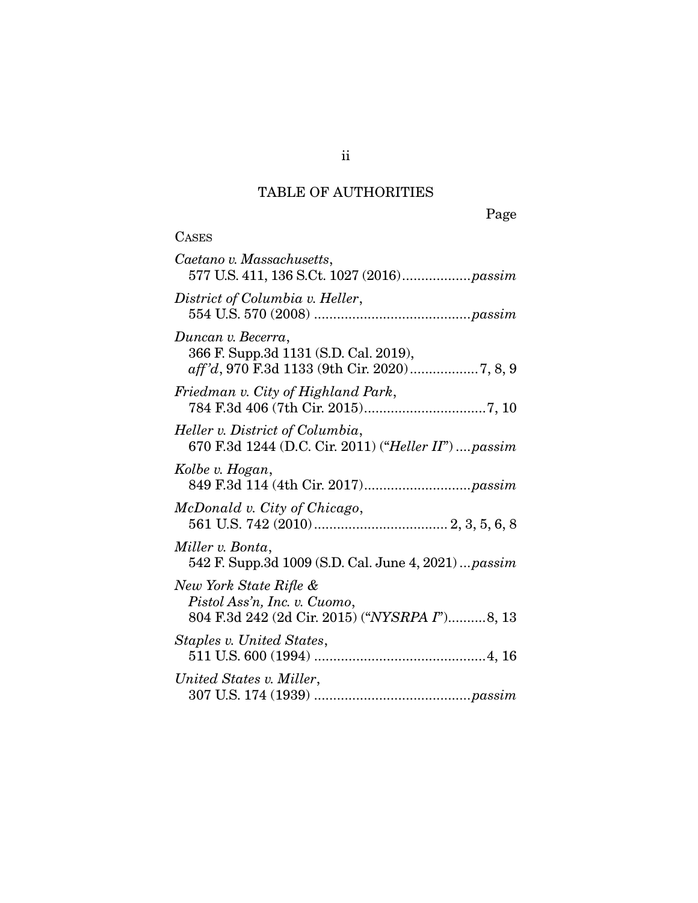# TABLE OF AUTHORITIES

Page

| <b>CASES</b>                                                                                                |
|-------------------------------------------------------------------------------------------------------------|
| Caetano v. Massachusetts,<br>577 U.S. 411, 136 S.Ct. 1027 (2016)passim                                      |
| District of Columbia v. Heller,                                                                             |
| Duncan v. Becerra,<br>366 F. Supp.3d 1131 (S.D. Cal. 2019),<br>aff'd, 970 F.3d 1133 (9th Cir. 2020) 7, 8, 9 |
| Friedman v. City of Highland Park,                                                                          |
| Heller v. District of Columbia,<br>670 F.3d 1244 (D.C. Cir. 2011) ("Heller II")  passim                     |
| Kolbe v. Hogan,                                                                                             |
| McDonald v. City of Chicago,                                                                                |
| Miller v. Bonta,<br>542 F. Supp.3d 1009 (S.D. Cal. June 4, 2021) <i>passim</i>                              |
| New York State Rifle &<br>Pistol Ass'n, Inc. v. Cuomo,<br>804 F.3d 242 (2d Cir. 2015) ("NYSRPA I")8, 13     |
| Staples v. United States,                                                                                   |
| United States v. Miller,                                                                                    |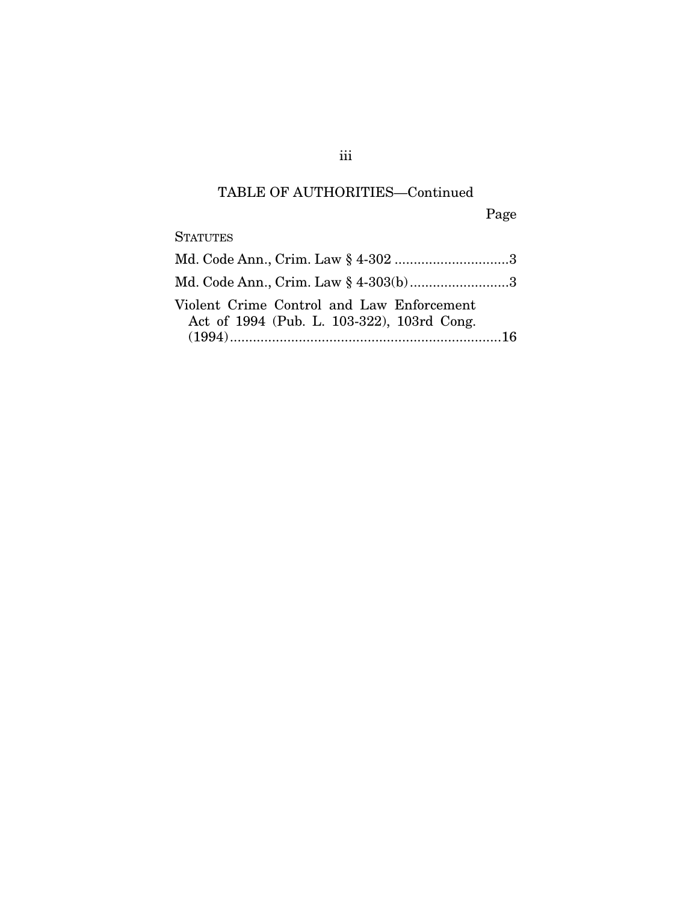## TABLE OF AUTHORITIES—Continued

Page

**STATUTES** 

| Md. Code Ann., Crim. Law § 4-302 3                                                      |  |
|-----------------------------------------------------------------------------------------|--|
| Md. Code Ann., Crim. Law § 4-303(b)3                                                    |  |
| Violent Crime Control and Law Enforcement<br>Act of 1994 (Pub. L. 103-322), 103rd Cong. |  |

iii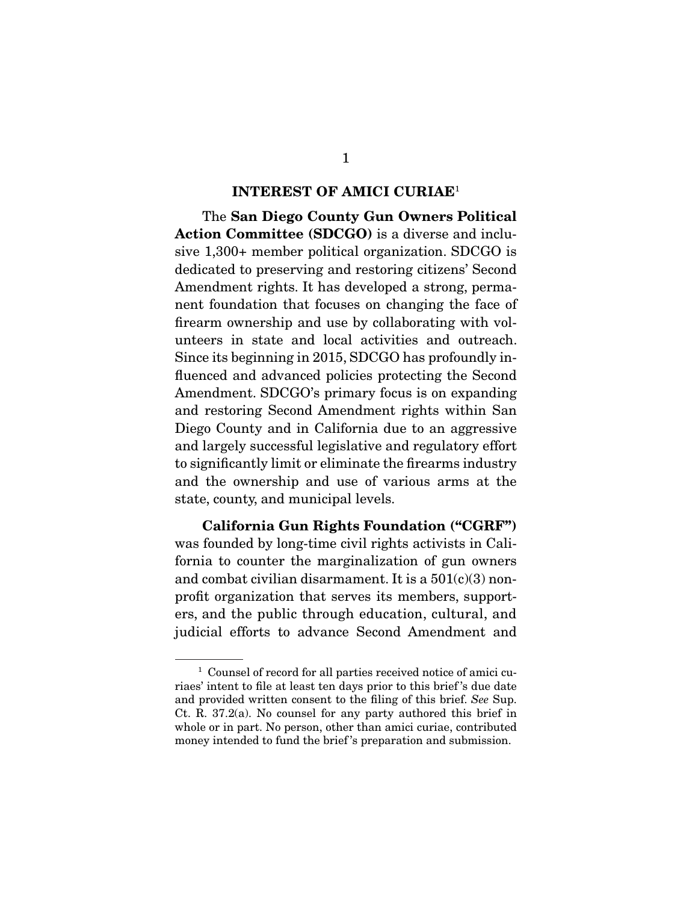#### **INTEREST OF AMICI CURIAE**<sup>1</sup>

 The **San Diego County Gun Owners Political Action Committee (SDCGO)** is a diverse and inclusive 1,300+ member political organization. SDCGO is dedicated to preserving and restoring citizens' Second Amendment rights. It has developed a strong, permanent foundation that focuses on changing the face of firearm ownership and use by collaborating with volunteers in state and local activities and outreach. Since its beginning in 2015, SDCGO has profoundly influenced and advanced policies protecting the Second Amendment. SDCGO's primary focus is on expanding and restoring Second Amendment rights within San Diego County and in California due to an aggressive and largely successful legislative and regulatory effort to significantly limit or eliminate the firearms industry and the ownership and use of various arms at the state, county, and municipal levels.

**California Gun Rights Foundation ("CGRF")** was founded by long-time civil rights activists in California to counter the marginalization of gun owners and combat civilian disarmament. It is a  $501(c)(3)$  nonprofit organization that serves its members, supporters, and the public through education, cultural, and judicial efforts to advance Second Amendment and

<sup>1</sup> Counsel of record for all parties received notice of amici curiaes' intent to file at least ten days prior to this brief 's due date and provided written consent to the filing of this brief. See Sup. Ct. R. 37.2(a). No counsel for any party authored this brief in whole or in part. No person, other than amici curiae, contributed money intended to fund the brief 's preparation and submission.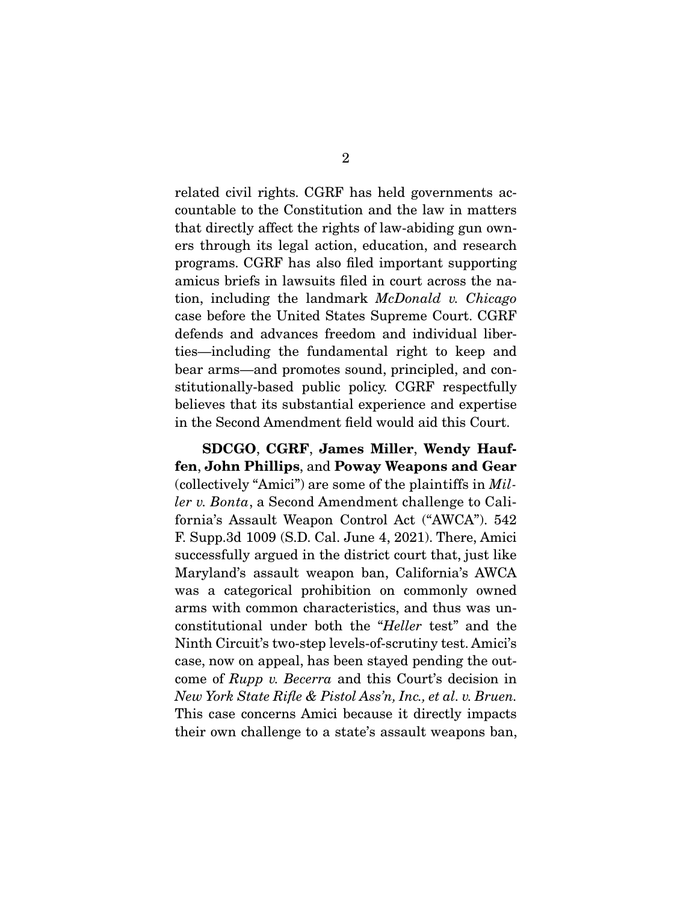related civil rights. CGRF has held governments accountable to the Constitution and the law in matters that directly affect the rights of law-abiding gun owners through its legal action, education, and research programs. CGRF has also filed important supporting amicus briefs in lawsuits filed in court across the nation, including the landmark McDonald v. Chicago case before the United States Supreme Court. CGRF defends and advances freedom and individual liberties—including the fundamental right to keep and bear arms—and promotes sound, principled, and constitutionally-based public policy. CGRF respectfully believes that its substantial experience and expertise in the Second Amendment field would aid this Court.

**SDCGO**, **CGRF**, **James Miller**, **Wendy Hauffen**, **John Phillips**, and **Poway Weapons and Gear**  (collectively "Amici") are some of the plaintiffs in Miller v. Bonta, a Second Amendment challenge to California's Assault Weapon Control Act ("AWCA"). 542 F. Supp.3d 1009 (S.D. Cal. June 4, 2021). There, Amici successfully argued in the district court that, just like Maryland's assault weapon ban, California's AWCA was a categorical prohibition on commonly owned arms with common characteristics, and thus was unconstitutional under both the "Heller test" and the Ninth Circuit's two-step levels-of-scrutiny test. Amici's case, now on appeal, has been stayed pending the outcome of Rupp v. Becerra and this Court's decision in New York State Rifle & Pistol Ass'n, Inc., et al. v. Bruen. This case concerns Amici because it directly impacts their own challenge to a state's assault weapons ban,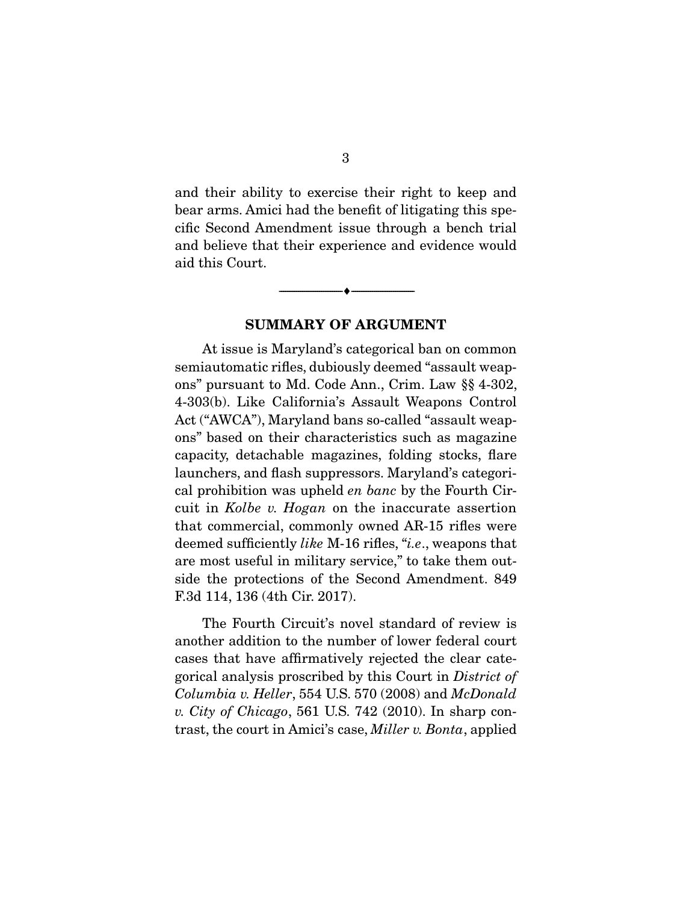and their ability to exercise their right to keep and bear arms. Amici had the benefit of litigating this specific Second Amendment issue through a bench trial and believe that their experience and evidence would aid this Court.

**SUMMARY OF ARGUMENT** 

 $\overbrace{\hspace{2.5cm}}^{\bullet}$   $\overbrace{\hspace{2.5cm}}^{\bullet}$ 

 At issue is Maryland's categorical ban on common semiautomatic rifles, dubiously deemed "assault weapons" pursuant to Md. Code Ann., Crim. Law §§ 4-302, 4-303(b). Like California's Assault Weapons Control Act ("AWCA"), Maryland bans so-called "assault weapons" based on their characteristics such as magazine capacity, detachable magazines, folding stocks, flare launchers, and flash suppressors. Maryland's categorical prohibition was upheld en banc by the Fourth Circuit in Kolbe v. Hogan on the inaccurate assertion that commercial, commonly owned AR-15 rifles were deemed sufficiently *like* M-16 rifles, "*i.e.*, weapons that are most useful in military service," to take them outside the protections of the Second Amendment. 849 F.3d 114, 136 (4th Cir. 2017).

 The Fourth Circuit's novel standard of review is another addition to the number of lower federal court cases that have affirmatively rejected the clear categorical analysis proscribed by this Court in District of Columbia v. Heller, 554 U.S. 570 (2008) and McDonald v. City of Chicago, 561 U.S. 742 (2010). In sharp contrast, the court in Amici's case, Miller v. Bonta, applied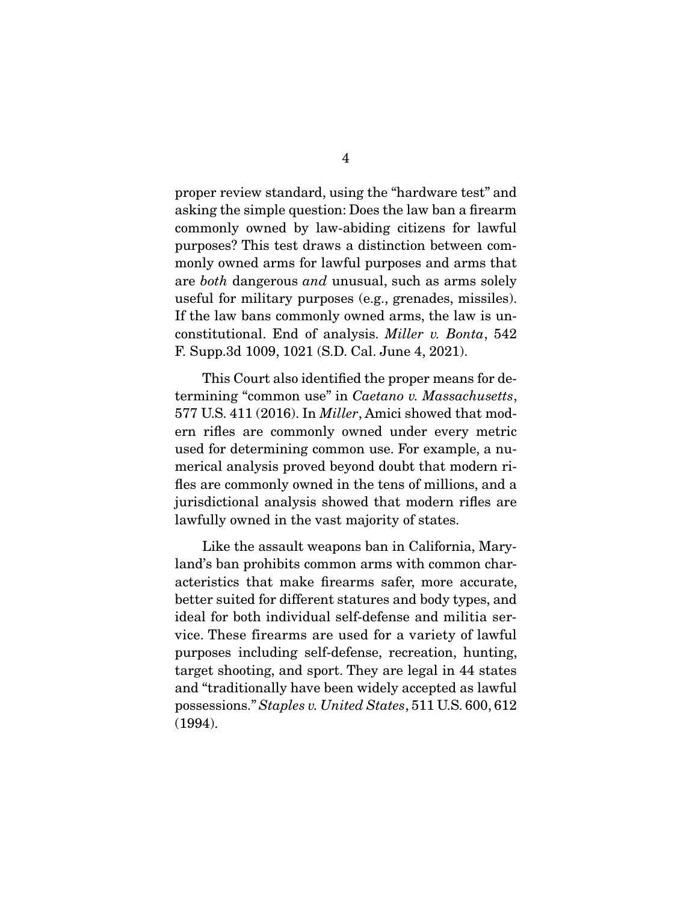proper review standard, using the "hardware test" and asking the simple question: Does the law ban a firearm commonly owned by law-abiding citizens for lawful purposes? This test draws a distinction between commonly owned arms for lawful purposes and arms that are both dangerous and unusual, such as arms solely useful for military purposes (e.g., grenades, missiles). If the law bans commonly owned arms, the law is unconstitutional. End of analysis. Miller v. Bonta, 542 F. Supp.3d 1009, 1021 (S.D. Cal. June 4, 2021).

 This Court also identified the proper means for determining "common use" in Caetano v. Massachusetts, 577 U.S. 411 (2016). In Miller, Amici showed that modern rifles are commonly owned under every metric used for determining common use. For example, a numerical analysis proved beyond doubt that modern rifles are commonly owned in the tens of millions, and a jurisdictional analysis showed that modern rifles are lawfully owned in the vast majority of states.

 Like the assault weapons ban in California, Maryland's ban prohibits common arms with common characteristics that make firearms safer, more accurate, better suited for different statures and body types, and ideal for both individual self-defense and militia service. These firearms are used for a variety of lawful purposes including self-defense, recreation, hunting, target shooting, and sport. They are legal in 44 states and "traditionally have been widely accepted as lawful possessions." Staples v. United States, 511 U.S. 600, 612 (1994).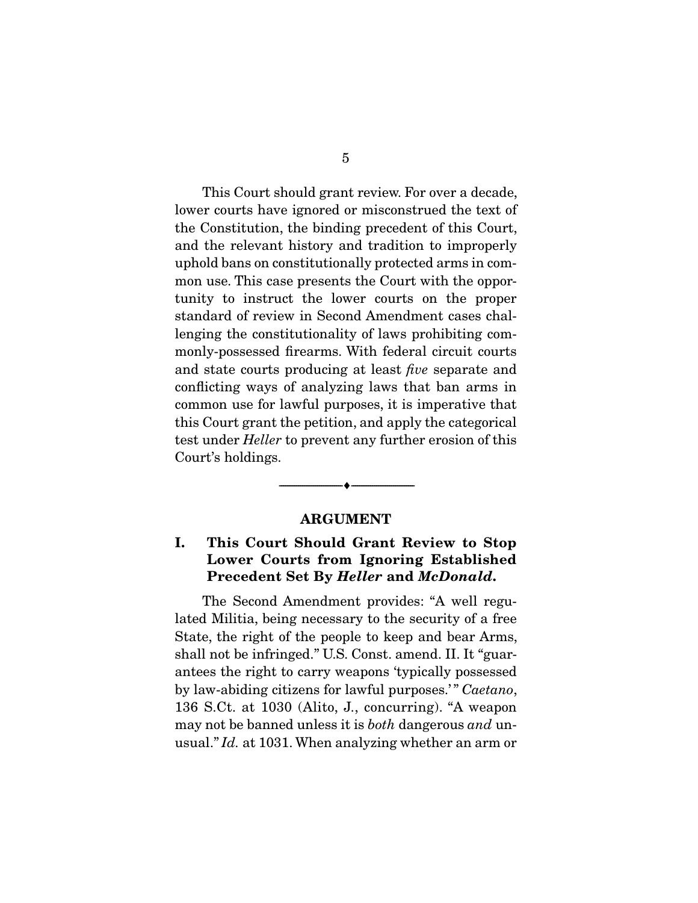This Court should grant review. For over a decade, lower courts have ignored or misconstrued the text of the Constitution, the binding precedent of this Court, and the relevant history and tradition to improperly uphold bans on constitutionally protected arms in common use. This case presents the Court with the opportunity to instruct the lower courts on the proper standard of review in Second Amendment cases challenging the constitutionality of laws prohibiting commonly-possessed firearms. With federal circuit courts and state courts producing at least five separate and conflicting ways of analyzing laws that ban arms in common use for lawful purposes, it is imperative that this Court grant the petition, and apply the categorical test under Heller to prevent any further erosion of this Court's holdings.

#### **ARGUMENT**

--------------------------------- ♦ ---------------------------------

## **I. This Court Should Grant Review to Stop Lower Courts from Ignoring Established Precedent Set By** *Heller* **and** *McDonald***.**

 The Second Amendment provides: "A well regulated Militia, being necessary to the security of a free State, the right of the people to keep and bear Arms, shall not be infringed." U.S. Const. amend. II. It "guarantees the right to carry weapons 'typically possessed by law-abiding citizens for lawful purposes.'" Caetano, 136 S.Ct. at 1030 (Alito, J., concurring). "A weapon may not be banned unless it is *both* dangerous *and* unusual." Id. at 1031. When analyzing whether an arm or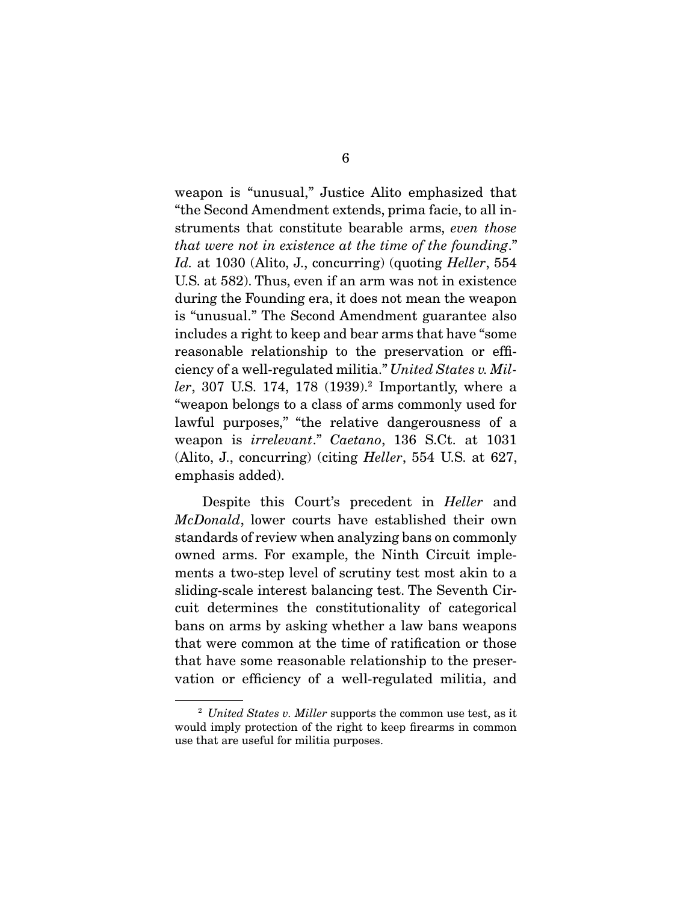weapon is "unusual," Justice Alito emphasized that "the Second Amendment extends, prima facie, to all instruments that constitute bearable arms, even those that were not in existence at the time of the founding." Id. at 1030 (Alito, J., concurring) (quoting Heller, 554 U.S. at 582). Thus, even if an arm was not in existence during the Founding era, it does not mean the weapon is "unusual." The Second Amendment guarantee also includes a right to keep and bear arms that have "some reasonable relationship to the preservation or efficiency of a well-regulated militia." United States v. Miller, 307 U.S. 174, 178 (1939).<sup>2</sup> Importantly, where a "weapon belongs to a class of arms commonly used for lawful purposes," "the relative dangerousness of a weapon is irrelevant." Caetano, 136 S.Ct. at 1031 (Alito, J., concurring) (citing Heller, 554 U.S. at 627, emphasis added).

Despite this Court's precedent in *Heller* and McDonald, lower courts have established their own standards of review when analyzing bans on commonly owned arms. For example, the Ninth Circuit implements a two-step level of scrutiny test most akin to a sliding-scale interest balancing test. The Seventh Circuit determines the constitutionality of categorical bans on arms by asking whether a law bans weapons that were common at the time of ratification or those that have some reasonable relationship to the preservation or efficiency of a well-regulated militia, and

 $2$  United States v. Miller supports the common use test, as it would imply protection of the right to keep firearms in common use that are useful for militia purposes.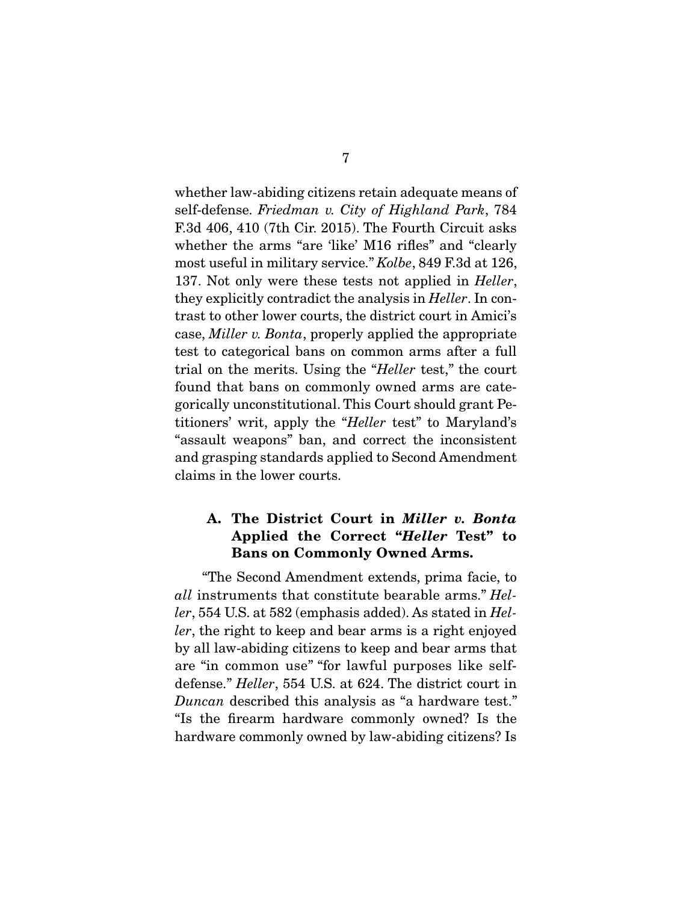whether law-abiding citizens retain adequate means of self-defense. Friedman v. City of Highland Park, 784 F.3d 406, 410 (7th Cir. 2015). The Fourth Circuit asks whether the arms "are 'like' M16 rifles" and "clearly most useful in military service." Kolbe, 849 F.3d at 126, 137. Not only were these tests not applied in *Heller*, they explicitly contradict the analysis in Heller. In contrast to other lower courts, the district court in Amici's case, Miller v. Bonta, properly applied the appropriate test to categorical bans on common arms after a full trial on the merits. Using the "Heller test," the court found that bans on commonly owned arms are categorically unconstitutional. This Court should grant Petitioners' writ, apply the "Heller test" to Maryland's "assault weapons" ban, and correct the inconsistent and grasping standards applied to Second Amendment claims in the lower courts.

## **A. The District Court in** *Miller v. Bonta* **Applied the Correct "***Heller* **Test" to Bans on Commonly Owned Arms.**

 "The Second Amendment extends, prima facie, to all instruments that constitute bearable arms." Heller, 554 U.S. at 582 (emphasis added). As stated in Heller, the right to keep and bear arms is a right enjoyed by all law-abiding citizens to keep and bear arms that are "in common use" "for lawful purposes like selfdefense." Heller, 554 U.S. at 624. The district court in Duncan described this analysis as "a hardware test." "Is the firearm hardware commonly owned? Is the hardware commonly owned by law-abiding citizens? Is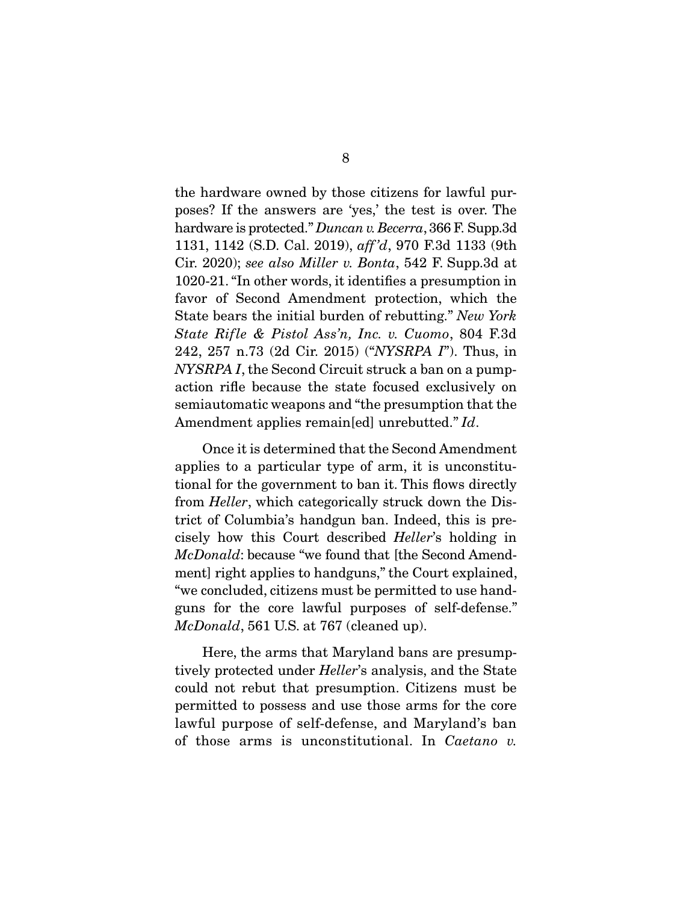the hardware owned by those citizens for lawful purposes? If the answers are 'yes,' the test is over. The hardware is protected." Duncan v. Becerra, 366 F. Supp.3d 1131, 1142 (S.D. Cal. 2019), aff 'd, 970 F.3d 1133 (9th Cir. 2020); see also Miller v. Bonta, 542 F. Supp.3d at 1020-21. "In other words, it identifies a presumption in favor of Second Amendment protection, which the State bears the initial burden of rebutting." New York State Rifle & Pistol Ass'n, Inc. v. Cuomo, 804 F.3d 242, 257 n.73 (2d Cir. 2015) ("NYSRPA I"). Thus, in NYSRPA I, the Second Circuit struck a ban on a pumpaction rifle because the state focused exclusively on semiautomatic weapons and "the presumption that the Amendment applies remain[ed] unrebutted." Id.

 Once it is determined that the Second Amendment applies to a particular type of arm, it is unconstitutional for the government to ban it. This flows directly from Heller, which categorically struck down the District of Columbia's handgun ban. Indeed, this is precisely how this Court described Heller's holding in McDonald: because "we found that [the Second Amendment] right applies to handguns," the Court explained, "we concluded, citizens must be permitted to use handguns for the core lawful purposes of self-defense." McDonald, 561 U.S. at 767 (cleaned up).

 Here, the arms that Maryland bans are presumptively protected under Heller's analysis, and the State could not rebut that presumption. Citizens must be permitted to possess and use those arms for the core lawful purpose of self-defense, and Maryland's ban of those arms is unconstitutional. In Caetano v.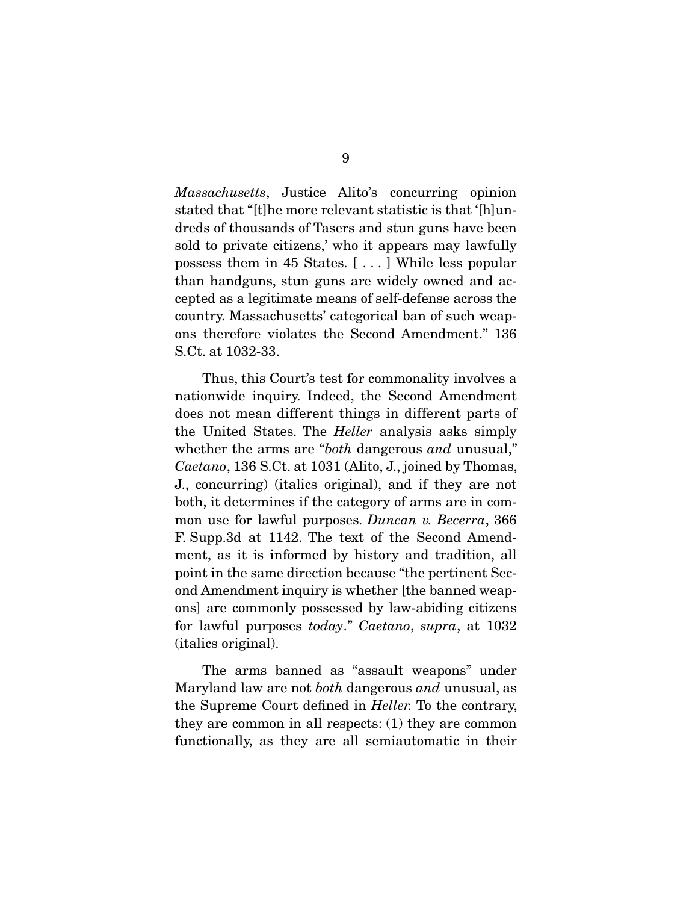Massachusetts, Justice Alito's concurring opinion stated that "[t]he more relevant statistic is that '[h]undreds of thousands of Tasers and stun guns have been sold to private citizens,' who it appears may lawfully possess them in 45 States. [ . . . ] While less popular than handguns, stun guns are widely owned and accepted as a legitimate means of self-defense across the country. Massachusetts' categorical ban of such weapons therefore violates the Second Amendment." 136 S.Ct. at 1032-33.

 Thus, this Court's test for commonality involves a nationwide inquiry. Indeed, the Second Amendment does not mean different things in different parts of the United States. The Heller analysis asks simply whether the arms are "both dangerous and unusual," Caetano, 136 S.Ct. at 1031 (Alito, J., joined by Thomas, J., concurring) (italics original), and if they are not both, it determines if the category of arms are in common use for lawful purposes. Duncan v. Becerra, 366 F. Supp.3d at 1142. The text of the Second Amendment, as it is informed by history and tradition, all point in the same direction because "the pertinent Second Amendment inquiry is whether [the banned weapons] are commonly possessed by law-abiding citizens for lawful purposes today." Caetano, supra, at 1032 (italics original).

 The arms banned as "assault weapons" under Maryland law are not both dangerous and unusual, as the Supreme Court defined in Heller. To the contrary, they are common in all respects: (1) they are common functionally, as they are all semiautomatic in their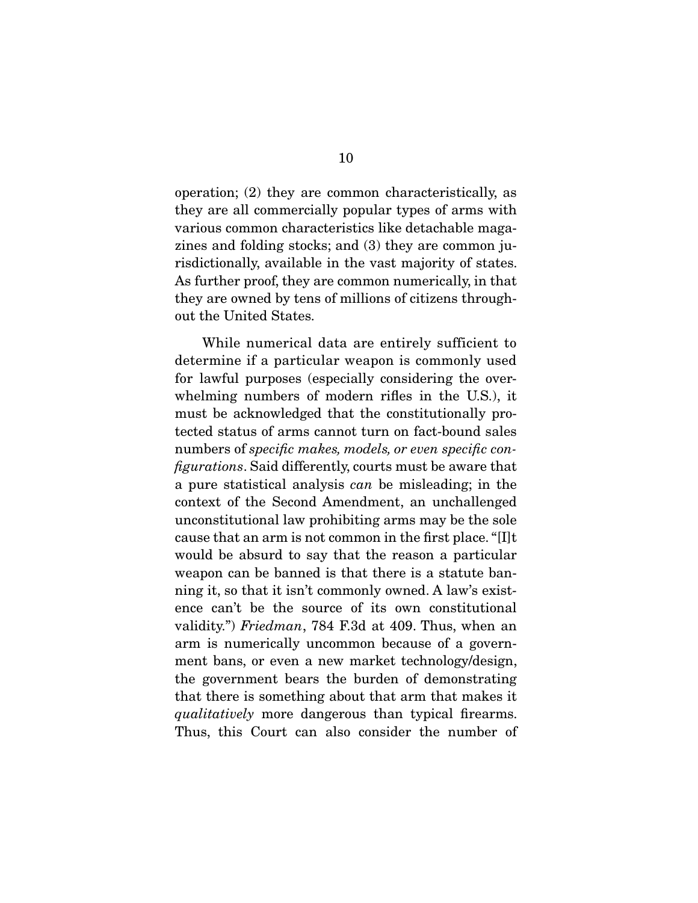operation; (2) they are common characteristically, as they are all commercially popular types of arms with various common characteristics like detachable magazines and folding stocks; and (3) they are common jurisdictionally, available in the vast majority of states. As further proof, they are common numerically, in that they are owned by tens of millions of citizens throughout the United States.

 While numerical data are entirely sufficient to determine if a particular weapon is commonly used for lawful purposes (especially considering the overwhelming numbers of modern rifles in the U.S.), it must be acknowledged that the constitutionally protected status of arms cannot turn on fact-bound sales numbers of *specific makes, models, or even specific con*figurations. Said differently, courts must be aware that a pure statistical analysis can be misleading; in the context of the Second Amendment, an unchallenged unconstitutional law prohibiting arms may be the sole cause that an arm is not common in the first place. "[I]t would be absurd to say that the reason a particular weapon can be banned is that there is a statute banning it, so that it isn't commonly owned. A law's existence can't be the source of its own constitutional validity.") Friedman, 784 F.3d at 409. Thus, when an arm is numerically uncommon because of a government bans, or even a new market technology/design, the government bears the burden of demonstrating that there is something about that arm that makes it qualitatively more dangerous than typical firearms. Thus, this Court can also consider the number of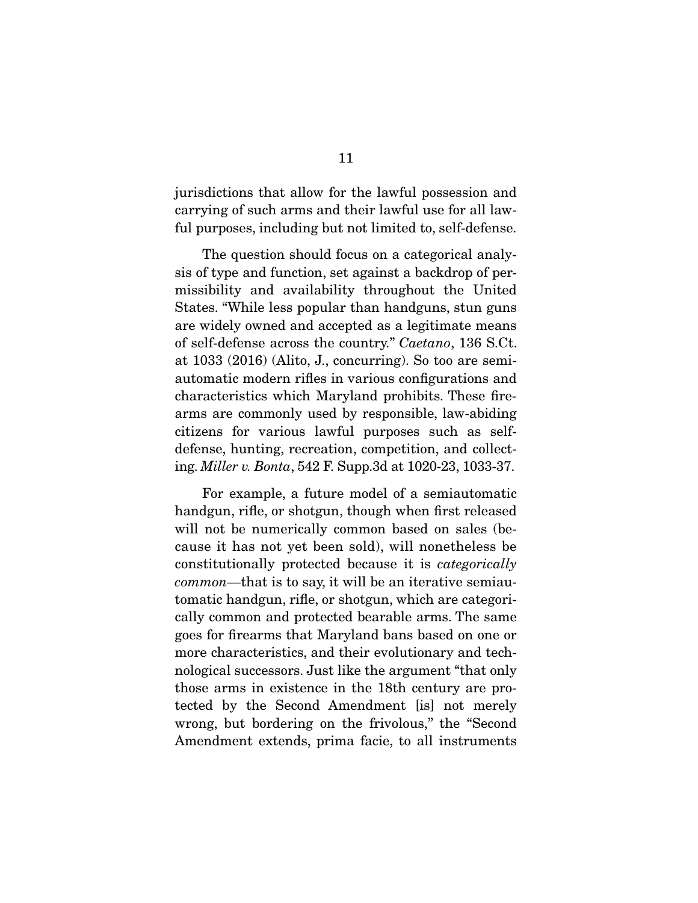jurisdictions that allow for the lawful possession and carrying of such arms and their lawful use for all lawful purposes, including but not limited to, self-defense.

 The question should focus on a categorical analysis of type and function, set against a backdrop of permissibility and availability throughout the United States. "While less popular than handguns, stun guns are widely owned and accepted as a legitimate means of self-defense across the country." Caetano, 136 S.Ct. at 1033 (2016) (Alito, J., concurring). So too are semiautomatic modern rifles in various configurations and characteristics which Maryland prohibits. These firearms are commonly used by responsible, law-abiding citizens for various lawful purposes such as selfdefense, hunting, recreation, competition, and collecting. Miller v. Bonta, 542 F. Supp.3d at 1020-23, 1033-37.

 For example, a future model of a semiautomatic handgun, rifle, or shotgun, though when first released will not be numerically common based on sales (because it has not yet been sold), will nonetheless be constitutionally protected because it is categorically common—that is to say, it will be an iterative semiautomatic handgun, rifle, or shotgun, which are categorically common and protected bearable arms. The same goes for firearms that Maryland bans based on one or more characteristics, and their evolutionary and technological successors. Just like the argument "that only those arms in existence in the 18th century are protected by the Second Amendment [is] not merely wrong, but bordering on the frivolous," the "Second Amendment extends, prima facie, to all instruments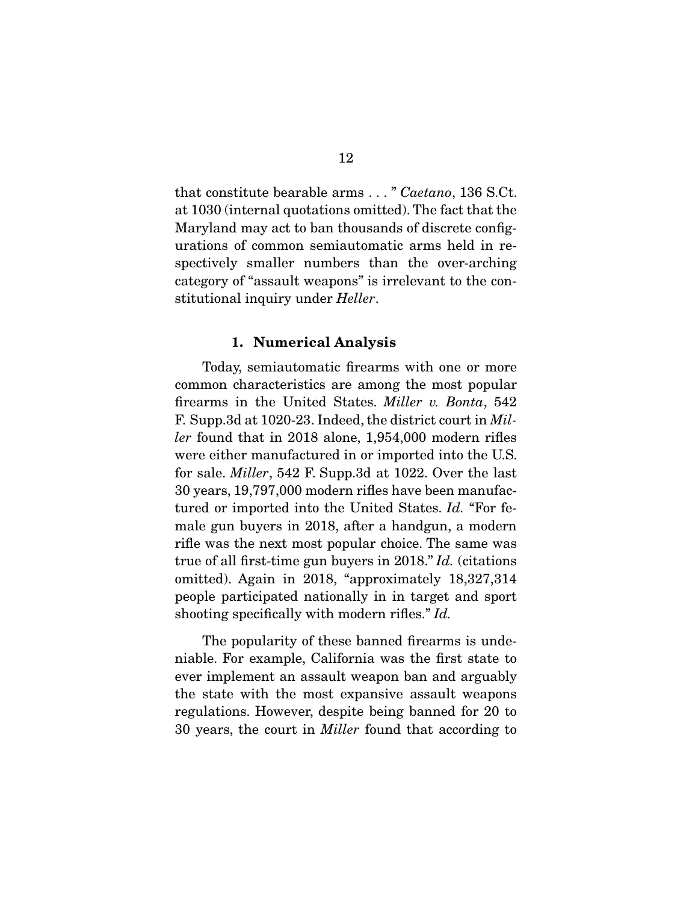that constitute bearable arms . . . " Caetano, 136 S.Ct. at 1030 (internal quotations omitted). The fact that the Maryland may act to ban thousands of discrete configurations of common semiautomatic arms held in respectively smaller numbers than the over-arching category of "assault weapons" is irrelevant to the constitutional inquiry under *Heller*.

#### **1. Numerical Analysis**

 Today, semiautomatic firearms with one or more common characteristics are among the most popular firearms in the United States. Miller v. Bonta, 542 F. Supp.3d at 1020-23. Indeed, the district court in Miller found that in 2018 alone, 1,954,000 modern rifles were either manufactured in or imported into the U.S. for sale. Miller, 542 F. Supp.3d at 1022. Over the last 30 years, 19,797,000 modern rifles have been manufactured or imported into the United States. Id. "For female gun buyers in 2018, after a handgun, a modern rifle was the next most popular choice. The same was true of all first-time gun buyers in 2018." Id. (citations omitted). Again in 2018, "approximately 18,327,314 people participated nationally in in target and sport shooting specifically with modern rifles." Id.

 The popularity of these banned firearms is undeniable. For example, California was the first state to ever implement an assault weapon ban and arguably the state with the most expansive assault weapons regulations. However, despite being banned for 20 to 30 years, the court in Miller found that according to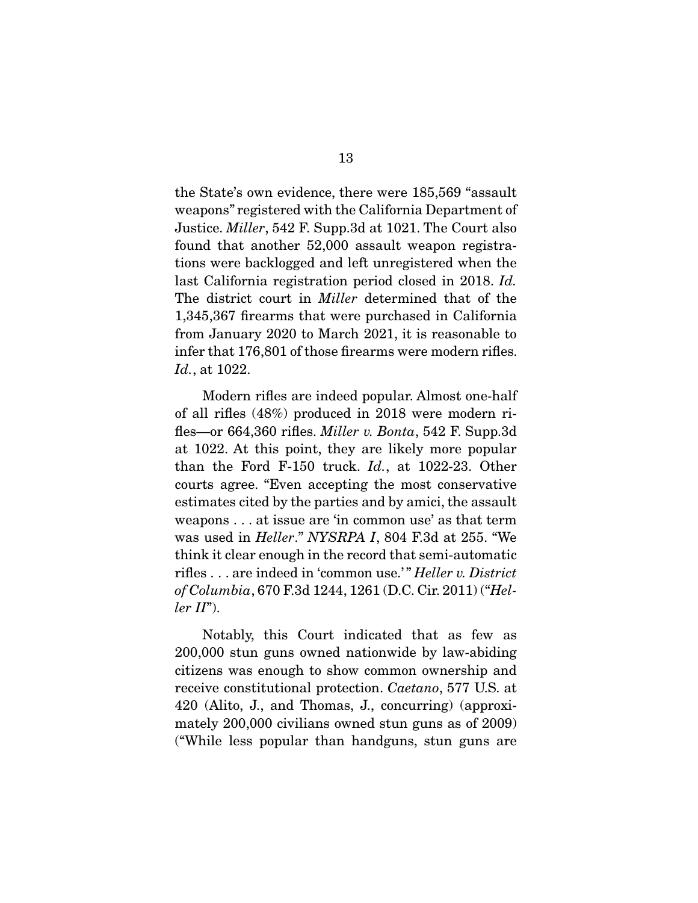the State's own evidence, there were 185,569 "assault weapons" registered with the California Department of Justice. Miller, 542 F. Supp.3d at 1021. The Court also found that another 52,000 assault weapon registrations were backlogged and left unregistered when the last California registration period closed in 2018. Id. The district court in *Miller* determined that of the 1,345,367 firearms that were purchased in California from January 2020 to March 2021, it is reasonable to infer that 176,801 of those firearms were modern rifles. Id., at 1022.

 Modern rifles are indeed popular. Almost one-half of all rifles (48%) produced in 2018 were modern rifles—or 664,360 rifles. *Miller v. Bonta*, 542 F. Supp.3d at 1022. At this point, they are likely more popular than the Ford F-150 truck. Id., at 1022-23. Other courts agree. "Even accepting the most conservative estimates cited by the parties and by amici, the assault weapons . . . at issue are 'in common use' as that term was used in Heller." NYSRPA I, 804 F.3d at 255. "We think it clear enough in the record that semi-automatic rifles . . . are indeed in 'common use.'" Heller v. District of Columbia, 670 F.3d 1244, 1261 (D.C. Cir. 2011) ("Hel $ler II$ ").

 Notably, this Court indicated that as few as 200,000 stun guns owned nationwide by law-abiding citizens was enough to show common ownership and receive constitutional protection. Caetano, 577 U.S. at 420 (Alito, J., and Thomas, J., concurring) (approximately 200,000 civilians owned stun guns as of 2009) ("While less popular than handguns, stun guns are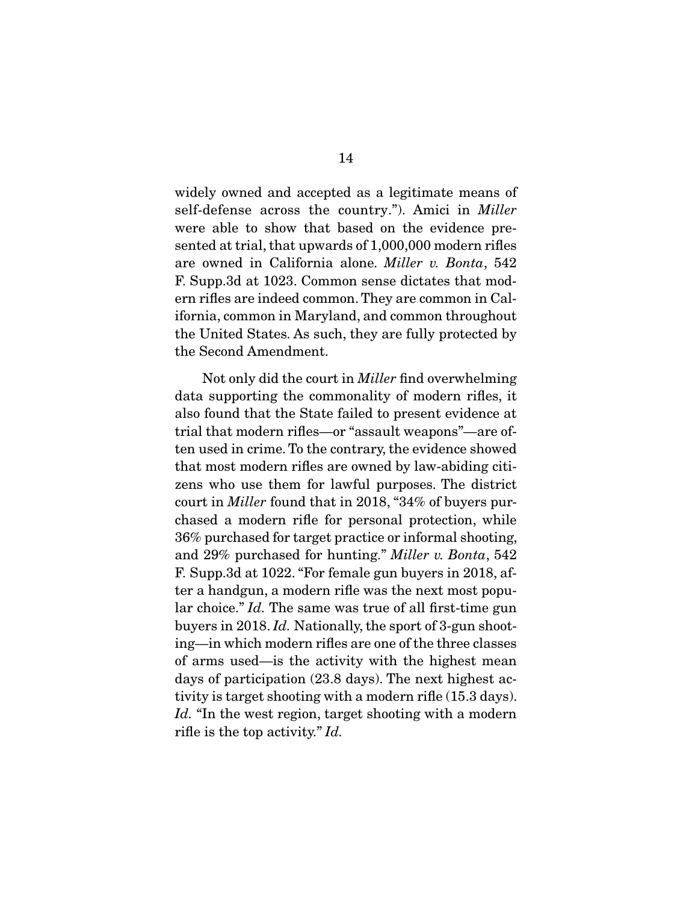widely owned and accepted as a legitimate means of self-defense across the country."). Amici in *Miller* were able to show that based on the evidence presented at trial, that upwards of 1,000,000 modern rifles are owned in California alone. Miller v. Bonta, 542 F. Supp.3d at 1023. Common sense dictates that modern rifles are indeed common. They are common in California, common in Maryland, and common throughout the United States. As such, they are fully protected by the Second Amendment.

 Not only did the court in Miller find overwhelming data supporting the commonality of modern rifles, it also found that the State failed to present evidence at trial that modern rifles—or "assault weapons"—are often used in crime. To the contrary, the evidence showed that most modern rifles are owned by law-abiding citizens who use them for lawful purposes. The district court in Miller found that in 2018, "34% of buyers purchased a modern rifle for personal protection, while 36% purchased for target practice or informal shooting, and 29% purchased for hunting." Miller v. Bonta, 542 F. Supp.3d at 1022. "For female gun buyers in 2018, after a handgun, a modern rifle was the next most popular choice." Id. The same was true of all first-time gun buyers in 2018. Id. Nationally, the sport of 3-gun shooting—in which modern rifles are one of the three classes of arms used—is the activity with the highest mean days of participation (23.8 days). The next highest activity is target shooting with a modern rifle (15.3 days). Id. "In the west region, target shooting with a modern rifle is the top activity." Id.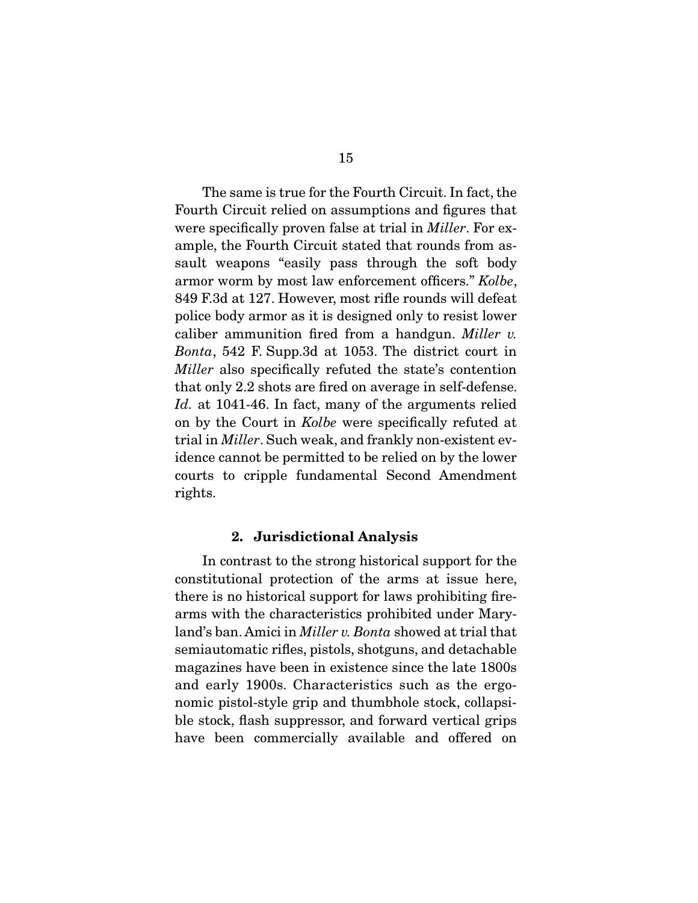The same is true for the Fourth Circuit. In fact, the Fourth Circuit relied on assumptions and figures that were specifically proven false at trial in *Miller*. For example, the Fourth Circuit stated that rounds from assault weapons "easily pass through the soft body armor worm by most law enforcement officers." Kolbe, 849 F.3d at 127. However, most rifle rounds will defeat police body armor as it is designed only to resist lower caliber ammunition fired from a handgun. Miller v. Bonta, 542 F. Supp.3d at 1053. The district court in Miller also specifically refuted the state's contention that only 2.2 shots are fired on average in self-defense. Id. at 1041-46. In fact, many of the arguments relied on by the Court in Kolbe were specifically refuted at trial in Miller. Such weak, and frankly non-existent evidence cannot be permitted to be relied on by the lower courts to cripple fundamental Second Amendment rights.

#### **2. Jurisdictional Analysis**

 In contrast to the strong historical support for the constitutional protection of the arms at issue here, there is no historical support for laws prohibiting firearms with the characteristics prohibited under Maryland's ban. Amici in Miller v. Bonta showed at trial that semiautomatic rifles, pistols, shotguns, and detachable magazines have been in existence since the late 1800s and early 1900s. Characteristics such as the ergonomic pistol-style grip and thumbhole stock, collapsible stock, flash suppressor, and forward vertical grips have been commercially available and offered on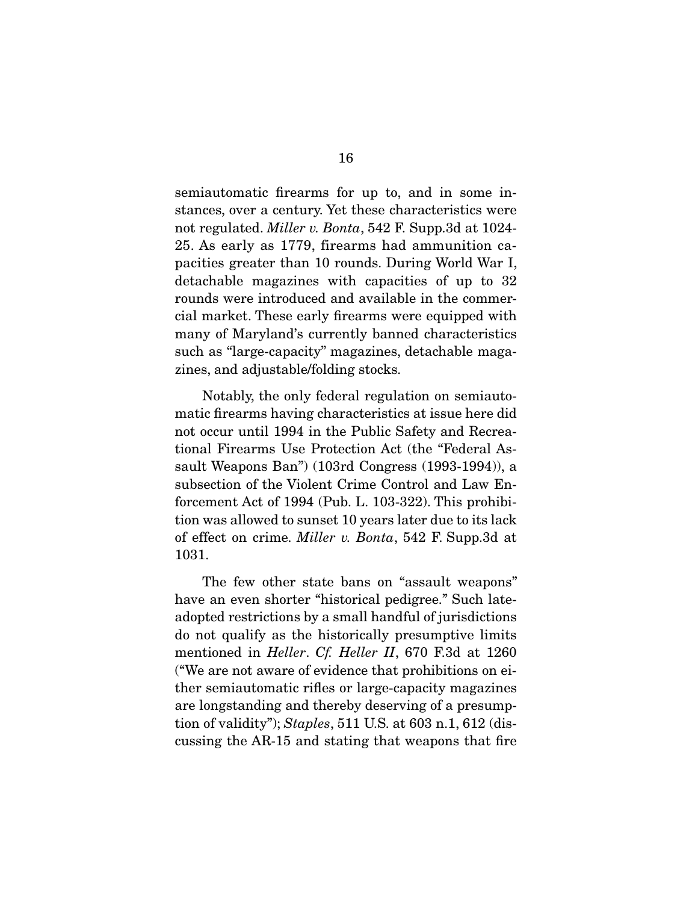semiautomatic firearms for up to, and in some instances, over a century. Yet these characteristics were not regulated. Miller v. Bonta, 542 F. Supp.3d at 1024- 25. As early as 1779, firearms had ammunition capacities greater than 10 rounds. During World War I, detachable magazines with capacities of up to 32 rounds were introduced and available in the commercial market. These early firearms were equipped with many of Maryland's currently banned characteristics such as "large-capacity" magazines, detachable magazines, and adjustable/folding stocks.

 Notably, the only federal regulation on semiautomatic firearms having characteristics at issue here did not occur until 1994 in the Public Safety and Recreational Firearms Use Protection Act (the "Federal Assault Weapons Ban") (103rd Congress (1993-1994)), a subsection of the Violent Crime Control and Law Enforcement Act of 1994 (Pub. L. 103-322). This prohibition was allowed to sunset 10 years later due to its lack of effect on crime. Miller v. Bonta, 542 F. Supp.3d at 1031.

 The few other state bans on "assault weapons" have an even shorter "historical pedigree." Such lateadopted restrictions by a small handful of jurisdictions do not qualify as the historically presumptive limits mentioned in Heller. Cf. Heller II, 670 F.3d at 1260 ("We are not aware of evidence that prohibitions on either semiautomatic rifles or large-capacity magazines are longstanding and thereby deserving of a presumption of validity"); Staples, 511 U.S. at 603 n.1, 612 (discussing the AR-15 and stating that weapons that fire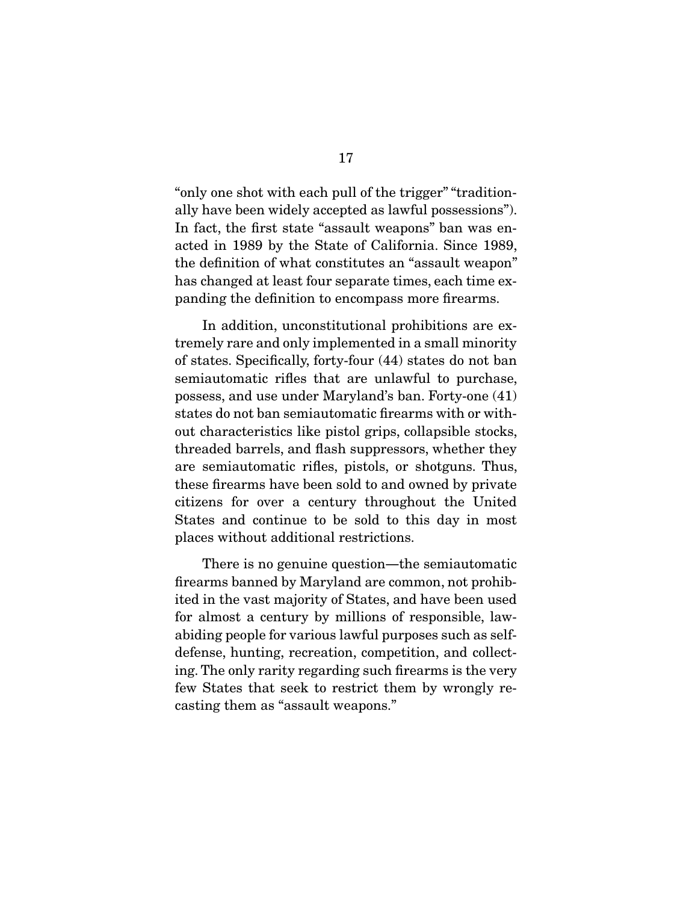"only one shot with each pull of the trigger" "traditionally have been widely accepted as lawful possessions"). In fact, the first state "assault weapons" ban was enacted in 1989 by the State of California. Since 1989, the definition of what constitutes an "assault weapon" has changed at least four separate times, each time expanding the definition to encompass more firearms.

 In addition, unconstitutional prohibitions are extremely rare and only implemented in a small minority of states. Specifically, forty-four (44) states do not ban semiautomatic rifles that are unlawful to purchase, possess, and use under Maryland's ban. Forty-one (41) states do not ban semiautomatic firearms with or without characteristics like pistol grips, collapsible stocks, threaded barrels, and flash suppressors, whether they are semiautomatic rifles, pistols, or shotguns. Thus, these firearms have been sold to and owned by private citizens for over a century throughout the United States and continue to be sold to this day in most places without additional restrictions.

There is no genuine question—the semiautomatic firearms banned by Maryland are common, not prohibited in the vast majority of States, and have been used for almost a century by millions of responsible, lawabiding people for various lawful purposes such as selfdefense, hunting, recreation, competition, and collecting. The only rarity regarding such firearms is the very few States that seek to restrict them by wrongly recasting them as "assault weapons."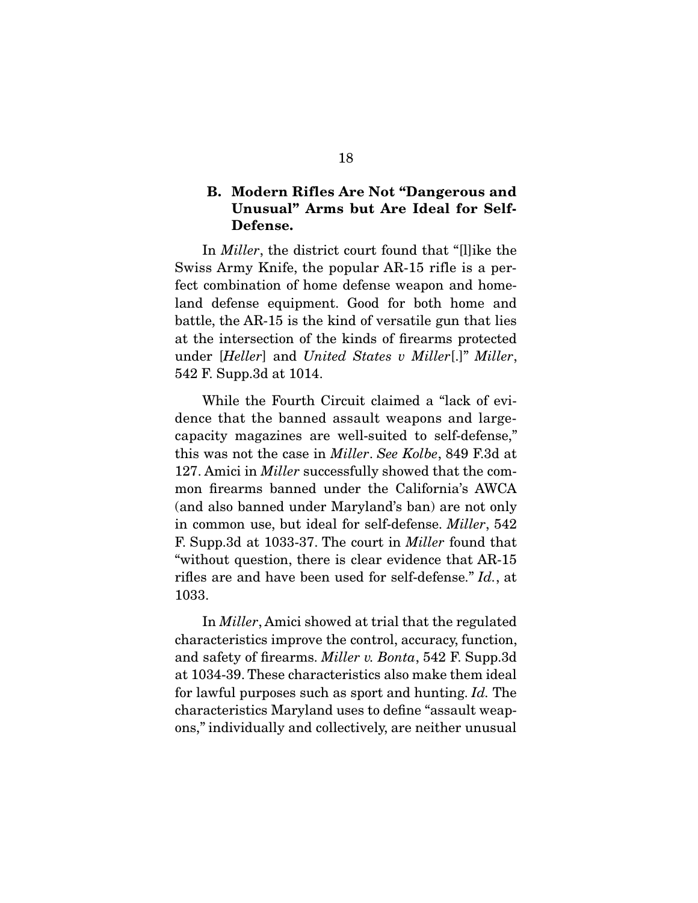## **B. Modern Rifles Are Not "Dangerous and Unusual" Arms but Are Ideal for Self-Defense.**

 In Miller, the district court found that "[l]ike the Swiss Army Knife, the popular AR-15 rifle is a perfect combination of home defense weapon and homeland defense equipment. Good for both home and battle, the AR-15 is the kind of versatile gun that lies at the intersection of the kinds of firearms protected under [Heller] and United States v Miller[.]" Miller, 542 F. Supp.3d at 1014.

 While the Fourth Circuit claimed a "lack of evidence that the banned assault weapons and largecapacity magazines are well-suited to self-defense," this was not the case in Miller. See Kolbe, 849 F.3d at 127. Amici in *Miller* successfully showed that the common firearms banned under the California's AWCA (and also banned under Maryland's ban) are not only in common use, but ideal for self-defense. Miller, 542 F. Supp.3d at 1033-37. The court in Miller found that "without question, there is clear evidence that AR-15 rifles are and have been used for self-defense." Id., at 1033.

 In Miller, Amici showed at trial that the regulated characteristics improve the control, accuracy, function, and safety of firearms. Miller v. Bonta, 542 F. Supp.3d at 1034-39. These characteristics also make them ideal for lawful purposes such as sport and hunting. Id. The characteristics Maryland uses to define "assault weapons," individually and collectively, are neither unusual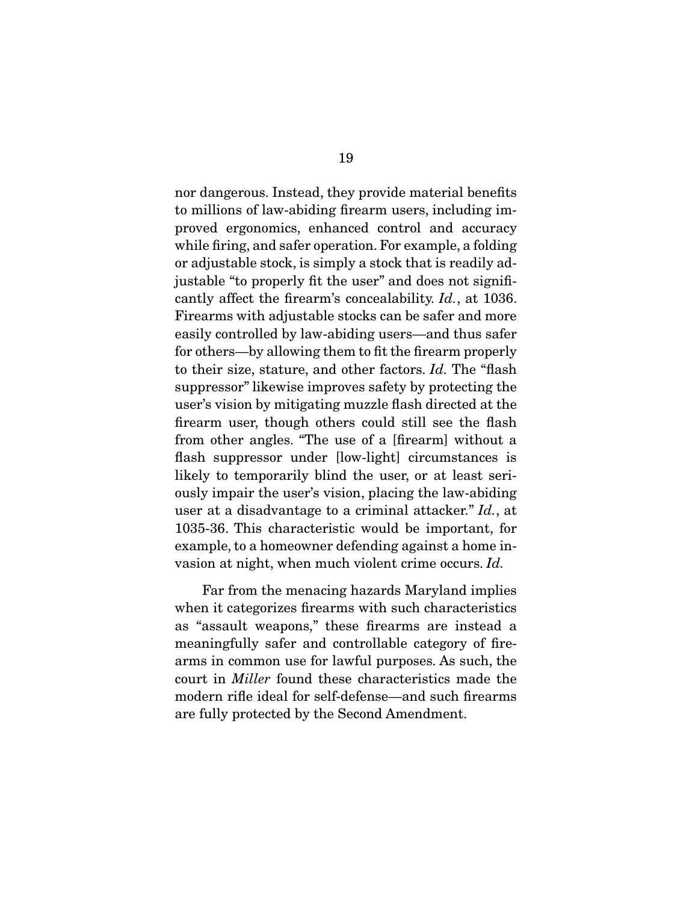nor dangerous. Instead, they provide material benefits to millions of law-abiding firearm users, including improved ergonomics, enhanced control and accuracy while firing, and safer operation. For example, a folding or adjustable stock, is simply a stock that is readily adjustable "to properly fit the user" and does not significantly affect the firearm's concealability. Id., at 1036. Firearms with adjustable stocks can be safer and more easily controlled by law-abiding users—and thus safer for others—by allowing them to fit the firearm properly to their size, stature, and other factors. Id. The "flash suppressor" likewise improves safety by protecting the user's vision by mitigating muzzle flash directed at the firearm user, though others could still see the flash from other angles. "The use of a [firearm] without a flash suppressor under [low-light] circumstances is likely to temporarily blind the user, or at least seriously impair the user's vision, placing the law-abiding user at a disadvantage to a criminal attacker." Id., at 1035-36. This characteristic would be important, for example, to a homeowner defending against a home invasion at night, when much violent crime occurs. Id.

 Far from the menacing hazards Maryland implies when it categorizes firearms with such characteristics as "assault weapons," these firearms are instead a meaningfully safer and controllable category of firearms in common use for lawful purposes. As such, the court in Miller found these characteristics made the modern rifle ideal for self-defense—and such firearms are fully protected by the Second Amendment.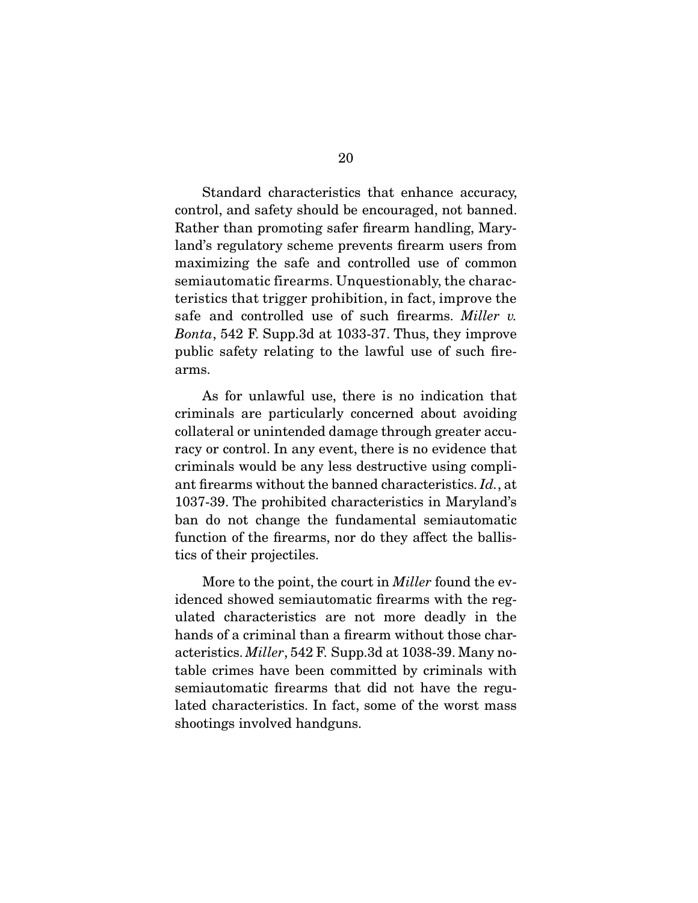Standard characteristics that enhance accuracy, control, and safety should be encouraged, not banned. Rather than promoting safer firearm handling, Maryland's regulatory scheme prevents firearm users from maximizing the safe and controlled use of common semiautomatic firearms. Unquestionably, the characteristics that trigger prohibition, in fact, improve the safe and controlled use of such firearms. Miller v. Bonta, 542 F. Supp.3d at 1033-37. Thus, they improve public safety relating to the lawful use of such firearms.

 As for unlawful use, there is no indication that criminals are particularly concerned about avoiding collateral or unintended damage through greater accuracy or control. In any event, there is no evidence that criminals would be any less destructive using compliant firearms without the banned characteristics. Id., at 1037-39. The prohibited characteristics in Maryland's ban do not change the fundamental semiautomatic function of the firearms, nor do they affect the ballistics of their projectiles.

More to the point, the court in *Miller* found the evidenced showed semiautomatic firearms with the regulated characteristics are not more deadly in the hands of a criminal than a firearm without those characteristics. Miller, 542 F. Supp.3d at 1038-39. Many notable crimes have been committed by criminals with semiautomatic firearms that did not have the regulated characteristics. In fact, some of the worst mass shootings involved handguns.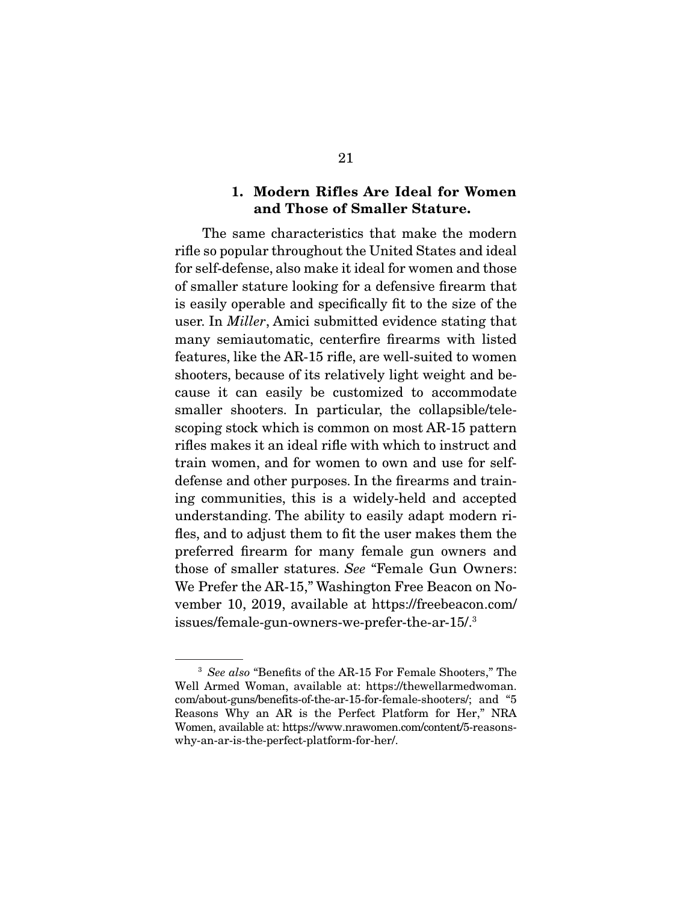### **1. Modern Rifles Are Ideal for Women and Those of Smaller Stature.**

 The same characteristics that make the modern rifle so popular throughout the United States and ideal for self-defense, also make it ideal for women and those of smaller stature looking for a defensive firearm that is easily operable and specifically fit to the size of the user. In Miller, Amici submitted evidence stating that many semiautomatic, centerfire firearms with listed features, like the AR-15 rifle, are well-suited to women shooters, because of its relatively light weight and because it can easily be customized to accommodate smaller shooters. In particular, the collapsible/telescoping stock which is common on most AR-15 pattern rifles makes it an ideal rifle with which to instruct and train women, and for women to own and use for selfdefense and other purposes. In the firearms and training communities, this is a widely-held and accepted understanding. The ability to easily adapt modern rifles, and to adjust them to fit the user makes them the preferred firearm for many female gun owners and those of smaller statures. See "Female Gun Owners: We Prefer the AR-15," Washington Free Beacon on November 10, 2019, available at https://freebeacon.com/ issues/female-gun-owners-we-prefer-the-ar-15/.3

<sup>&</sup>lt;sup>3</sup> See also "Benefits of the AR-15 For Female Shooters," The Well Armed Woman, available at: https://thewellarmedwoman. com/about-guns/benefits-of-the-ar-15-for-female-shooters/; and "5 Reasons Why an AR is the Perfect Platform for Her," NRA Women, available at: https://www.nrawomen.com/content/5-reasonswhy-an-ar-is-the-perfect-platform-for-her/.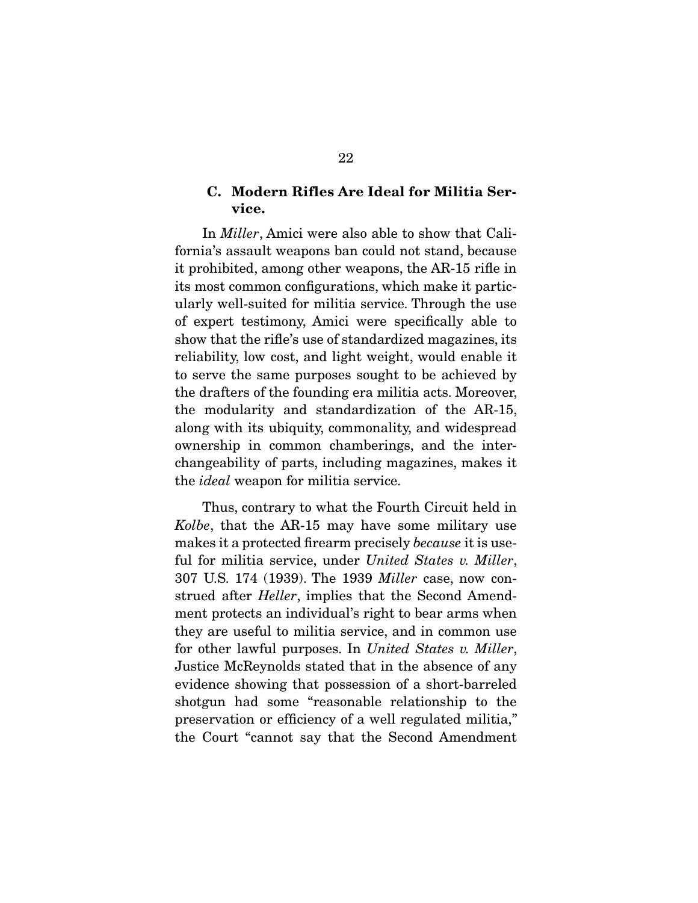### **C. Modern Rifles Are Ideal for Militia Service.**

 In Miller, Amici were also able to show that California's assault weapons ban could not stand, because it prohibited, among other weapons, the AR-15 rifle in its most common configurations, which make it particularly well-suited for militia service. Through the use of expert testimony, Amici were specifically able to show that the rifle's use of standardized magazines, its reliability, low cost, and light weight, would enable it to serve the same purposes sought to be achieved by the drafters of the founding era militia acts. Moreover, the modularity and standardization of the AR-15, along with its ubiquity, commonality, and widespread ownership in common chamberings, and the interchangeability of parts, including magazines, makes it the ideal weapon for militia service.

 Thus, contrary to what the Fourth Circuit held in Kolbe, that the AR-15 may have some military use makes it a protected firearm precisely because it is useful for militia service, under United States v. Miller, 307 U.S. 174 (1939). The 1939 Miller case, now construed after Heller, implies that the Second Amendment protects an individual's right to bear arms when they are useful to militia service, and in common use for other lawful purposes. In United States v. Miller, Justice McReynolds stated that in the absence of any evidence showing that possession of a short-barreled shotgun had some "reasonable relationship to the preservation or efficiency of a well regulated militia," the Court "cannot say that the Second Amendment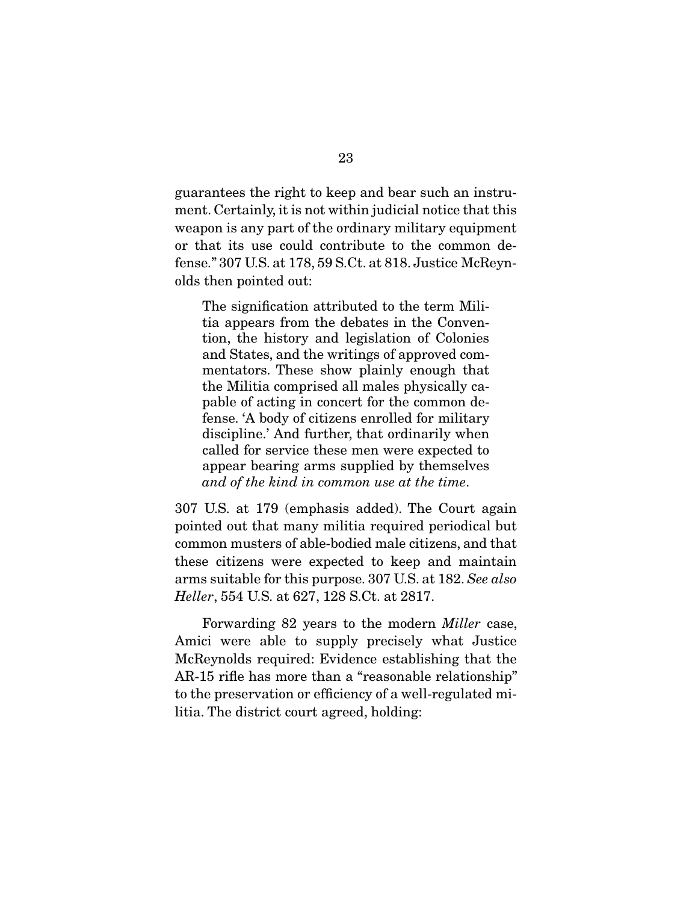guarantees the right to keep and bear such an instrument. Certainly, it is not within judicial notice that this weapon is any part of the ordinary military equipment or that its use could contribute to the common defense." 307 U.S. at 178, 59 S.Ct. at 818. Justice McReynolds then pointed out:

The signification attributed to the term Militia appears from the debates in the Convention, the history and legislation of Colonies and States, and the writings of approved commentators. These show plainly enough that the Militia comprised all males physically capable of acting in concert for the common defense. 'A body of citizens enrolled for military discipline.' And further, that ordinarily when called for service these men were expected to appear bearing arms supplied by themselves and of the kind in common use at the time.

307 U.S. at 179 (emphasis added). The Court again pointed out that many militia required periodical but common musters of able-bodied male citizens, and that these citizens were expected to keep and maintain arms suitable for this purpose. 307 U.S. at 182. See also Heller, 554 U.S. at 627, 128 S.Ct. at 2817.

 Forwarding 82 years to the modern Miller case, Amici were able to supply precisely what Justice McReynolds required: Evidence establishing that the AR-15 rifle has more than a "reasonable relationship" to the preservation or efficiency of a well-regulated militia. The district court agreed, holding: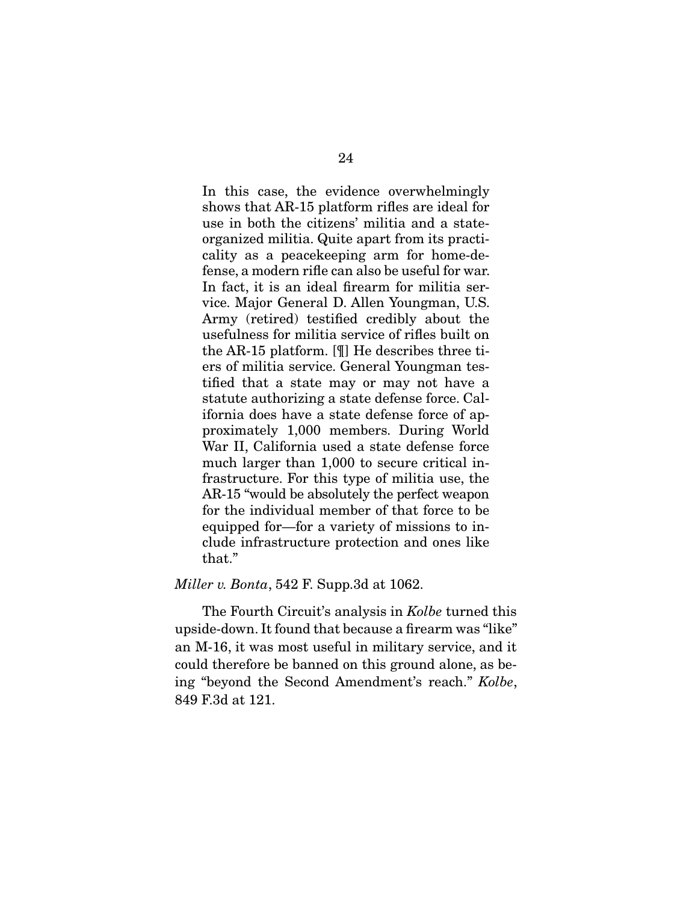In this case, the evidence overwhelmingly shows that AR-15 platform rifles are ideal for use in both the citizens' militia and a stateorganized militia. Quite apart from its practicality as a peacekeeping arm for home-defense, a modern rifle can also be useful for war. In fact, it is an ideal firearm for militia service. Major General D. Allen Youngman, U.S. Army (retired) testified credibly about the usefulness for militia service of rifles built on the AR-15 platform. [¶] He describes three tiers of militia service. General Youngman testified that a state may or may not have a statute authorizing a state defense force. California does have a state defense force of approximately 1,000 members. During World War II, California used a state defense force much larger than 1,000 to secure critical infrastructure. For this type of militia use, the AR-15 "would be absolutely the perfect weapon for the individual member of that force to be equipped for—for a variety of missions to include infrastructure protection and ones like that."

#### Miller v. Bonta, 542 F. Supp.3d at 1062.

The Fourth Circuit's analysis in *Kolbe* turned this upside-down. It found that because a firearm was "like" an M-16, it was most useful in military service, and it could therefore be banned on this ground alone, as being "beyond the Second Amendment's reach." Kolbe, 849 F.3d at 121.